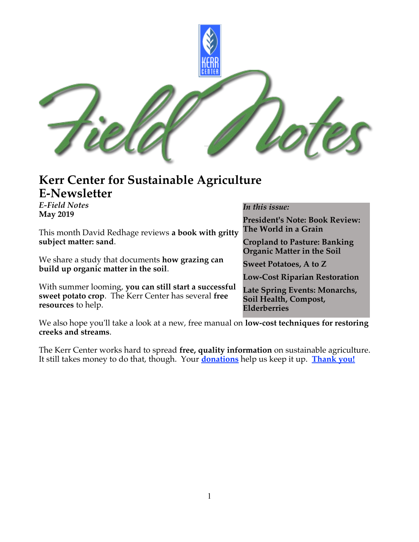

#### **Kerr Center for Sustainable Agriculture E-Newsletter**

*E-Field Notes* **May 2019** This month David Redhage reviews **a book with gritty subject matter: sand**. We share a study that documents **how grazing can build up organic matter in the soil**. With summer looming, **you can still start a successful sweet potato crop**. The Kerr Center has several **free resources** to help. *In this issue:* **President's Note: Book Review: The World in a Grain Cropland to Pasture: Banking Organic Matter in the Soil Sweet Potatoes, A to Z Low-Cost Riparian Restoration Late Spring Events: Monarchs, Soil Health, Compost, Elderberries**

We also hope you'll take a look at a new, free manual on **low-cost techniques for restoring creeks and streams**.

The Kerr Center works hard to spread **free, quality information** on sustainable agriculture. It still takes money to do that, though. Your **[donations](http://kerrcenter.com/about/donate/)** help us keep it up. **[Thank you!](http://kerrcenter.com/about/donate/thanks-donors/)**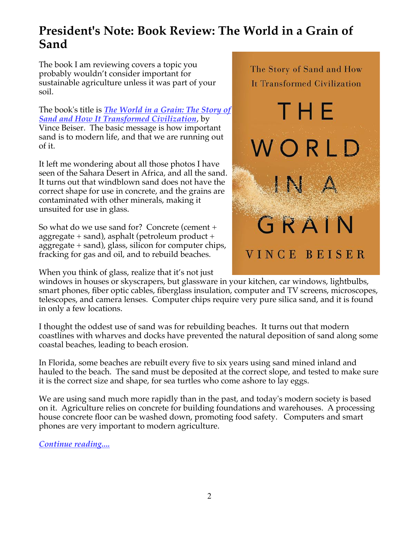### **President's Note: Book Review: The World in a Grain of Sand**

The book I am reviewing covers a topic you probably wouldn't consider important for sustainable agriculture unless it was part of your soil.

The book's title is *[The World in a Grain: The Story of](https://www.penguinrandomhouse.com/books/537681/the-world-in-a-grain-by-vince-beiser/9780399576423/) [Sand and How It Transformed Civilization](https://www.penguinrandomhouse.com/books/537681/the-world-in-a-grain-by-vince-beiser/9780399576423/)*, by Vince Beiser. The basic message is how important sand is to modern life, and that we are running out of it.

It left me wondering about all those photos I have seen of the Sahara Desert in Africa, and all the sand. It turns out that windblown sand does not have the correct shape for use in concrete, and the grains are contaminated with other minerals, making it unsuited for use in glass.

So what do we use sand for? Concrete (cement + aggregate + sand), asphalt (petroleum product + aggregate + sand), glass, silicon for computer chips, fracking for gas and oil, and to rebuild beaches.

When you think of glass, realize that it's not just

The Story of Sand and How It Transformed Civilization T H E VORID GRAIN VINCE BEISER

windows in houses or skyscrapers, but glassware in your kitchen, car windows, lightbulbs, smart phones, fiber optic cables, fiberglass insulation, computer and TV screens, microscopes, telescopes, and camera lenses. Computer chips require very pure silica sand, and it is found in only a few locations.

I thought the oddest use of sand was for rebuilding beaches. It turns out that modern coastlines with wharves and docks have prevented the natural deposition of sand along some coastal beaches, leading to beach erosion.

In Florida, some beaches are rebuilt every five to six years using sand mined inland and hauled to the beach. The sand must be deposited at the correct slope, and tested to make sure it is the correct size and shape, for sea turtles who come ashore to lay eggs.

We are using sand much more rapidly than in the past, and today's modern society is based on it. Agriculture relies on concrete for building foundations and warehouses. A processing house concrete floor can be washed down, promoting food safety. Computers and smart phones are very important to modern agriculture.

*[Continue reading....](http://kerrcenter.com/presidents-note-book-review-the-world-in-a-grain/)*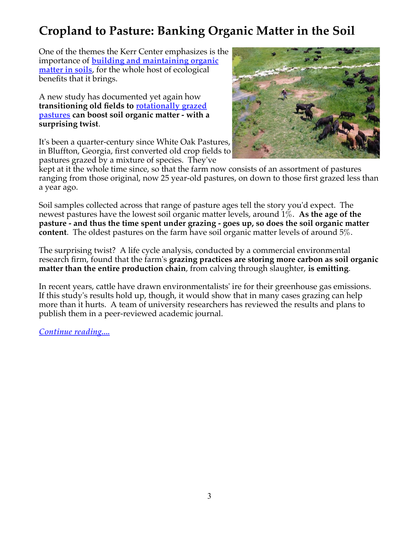# **Cropland to Pasture: Banking Organic Matter in the Soil**

One of the themes the Kerr Center emphasizes is the importance of **[building and maintaining organic](http://kerrcenter.com/organic-farm/organic-soil-building/) [matter in soils](http://kerrcenter.com/organic-farm/organic-soil-building/)**, for the whole host of ecological benefts that it brings.

A new study has documented yet again how **transitioning old felds to [rotationally grazed](http://kerrcenter.com/livestock/cattle/pasture/management-intensive-grazing/) [pastures](http://kerrcenter.com/livestock/cattle/pasture/management-intensive-grazing/) can boost soil organic matter - with a surprising twist**.

It's been a quarter-century since White Oak Pastures, in Bluffton, Georgia, frst converted old crop felds to pastures grazed by a mixture of species. They've



kept at it the whole time since, so that the farm now consists of an assortment of pastures ranging from those original, now 25 year-old pastures, on down to those frst grazed less than a year ago.

Soil samples collected across that range of pasture ages tell the story you'd expect. The newest pastures have the lowest soil organic matter levels, around 1%. **As the age of the pasture - and thus the time spent under grazing - goes up, so does the soil organic matter content**. The oldest pastures on the farm have soil organic matter levels of around 5%.

The surprising twist? A life cycle analysis, conducted by a commercial environmental research frm, found that the farm's **grazing practices are storing more carbon as soil organic matter than the entire production chain**, from calving through slaughter, **is emitting**.

In recent years, cattle have drawn environmentalists' ire for their greenhouse gas emissions. If this study's results hold up, though, it would show that in many cases grazing can help more than it hurts. A team of university researchers has reviewed the results and plans to publish them in a peer-reviewed academic journal.

*[Continue reading....](http://kerrcenter.com/cropland-to-pasture-banking-organic-matter-in-the-soil/)*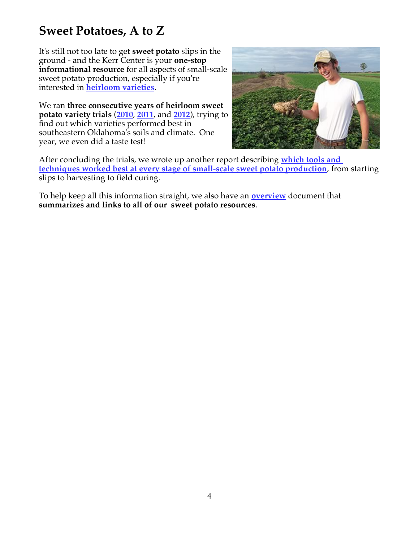## **Sweet Potatoes, A to Z**

It's still not too late to get **sweet potato** slips in the ground - and the Kerr Center is your **one-stop informational resource** for all aspects of small-scale sweet potato production, especially if you're interested in **[heirloom varieties](http://kerrcenter.com/organic-farm/heirloom-variety-trials/)**.

We ran **three consecutive years of heirloom sweet potato variety trials** (**[2010](http://kerrcenter.com/?post_type=publication&p=1209)**, **[2011](http://kerrcenter.com/?post_type=publication&p=1208)**, and **[2012](http://kerrcenter.com/?post_type=publication&p=1207)**), trying to fnd out which varieties performed best in southeastern Oklahoma's soils and climate. One year, we even did a taste test!



After concluding the trials, we wrote up another report describing **[which tools and](http://kerrcenter.com/?post_type=publication&p=1228)  [techniques worked best at every stage of small-scale sweet potato production](http://kerrcenter.com/?post_type=publication&p=1228)**, from starting slips to harvesting to field curing.

To help keep all this information straight, we also have an **[overview](http://kerrcenter.com/wp-content/uploads/2014/11/overview_sweet_potatoes_kerr_center.pdf)** document that **summarizes and links to all of our sweet potato resources**.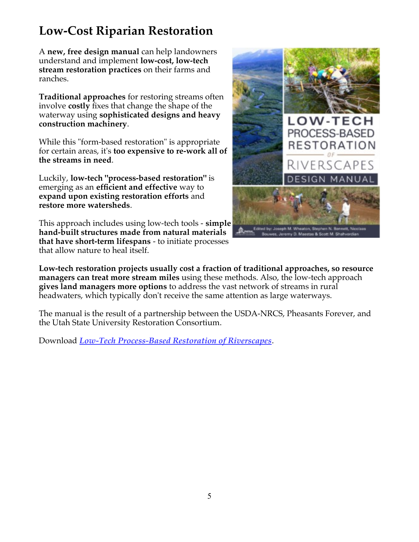## **Low-Cost Riparian Restoration**

A **new, free design manual** can help landowners understand and implement **low-cost, low-tech stream restoration practices** on their farms and ranches.

**Traditional approaches** for restoring streams often involve **costly** fxes that change the shape of the waterway using **sophisticated designs and heavy construction machinery**.

While this "form-based restoration" is appropriate for certain areas, it's **too expensive to re-work all of the streams in need**.

Luckily, **low-tech "process-based restoration"** is emerging as an **effcient and effective** way to **expand upon existing restoration efforts** and **restore more watersheds**.

This approach includes using low-tech tools - **simple hand-built structures made from natural materials that have short-term lifespans** - to initiate processes that allow nature to heal itself.



**Low-tech restoration projects usually cost a fraction of traditional approaches, so resource managers can treat more stream miles** using these methods. Also, the low-tech approach **gives land managers more options** to address the vast network of streams in rural headwaters, which typically don't receive the same attention as large waterways.

The manual is the result of a partnership between the USDA-NRCS, Pheasants Forever, and the Utah State University Restoration Consortium.

Download *[Low-Tech Process-Based Restoration of Riverscapes](http://lowtechpbr.restoration.usu.edu/)*.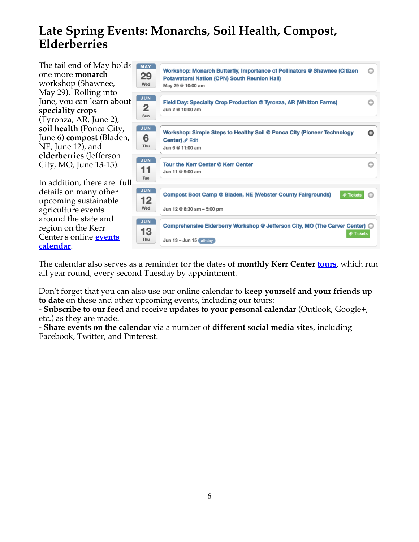## **Late Spring Events: Monarchs, Soil Health, Compost, Elderberries**

The tail end of May holds one more **monarch** workshop (Shawnee, May 29). Rolling into June, you can learn about **speciality crops** (Tyronza, AR, June 2), **soil health** (Ponca City, June 6) **compost** (Bladen, NE, June 12), and **elderberries** (Jefferson City, MO, June 13-15).

In addition, there are full details on many other upcoming sustainable agriculture events around the state and region on the Kerr Center's online **[events](http://kerrcenter.com/education-training/news-and-events/events/) [calendar](http://kerrcenter.com/education-training/news-and-events/events/)**.

| MAY<br>29<br>Wed               | Workshop: Monarch Butterfly, Importance of Pollinators @ Shawnee (Citizen<br><b>Potawatomi Nation (CPN) South Reunion Hall)</b><br>May 29 @ 10:00 am | o |
|--------------------------------|------------------------------------------------------------------------------------------------------------------------------------------------------|---|
| <b>JUN</b><br>2<br>Sun         | Field Day: Specialty Crop Production @ Tyronza, AR (Whitton Farms)<br>Jun 2 @ 10:00 am                                                               | o |
| <b>JUN</b><br>6<br>Thu         | Workshop: Simple Steps to Healthy Soil @ Ponca City (Pioneer Technology<br>Center) / Edit<br>Jun 6 @ 11:00 am                                        | o |
| <b>JUN</b><br>11<br>Tue        | <b>Tour the Kerr Center @ Kerr Center</b><br>Jun 11 @ 9:00 am                                                                                        | Θ |
| <b>JUN</b><br>12<br>Wed        | <b>Compost Boot Camp @ Bladen, NE (Webster County Fairgrounds)</b><br><b>♦ Tickets</b><br>Jun 12 @ 8:30 am - 5:00 pm                                 | o |
| <b>JUN</b><br>13<br><b>Thu</b> | Comprehensive Elderberry Workshop @ Jefferson City, MO (The Carver Center) (C)<br><b>♦ Tickets</b><br>Jun $13 -$ Jun $15$ all-day                    |   |

The calendar also serves as a reminder for the dates of **monthly Kerr Center [tours](http://kerrcenter.com/about/visit-tour-the-kerr-center/)**, which run all year round, every second Tuesday by appointment.

Don't forget that you can also use our online calendar to **keep yourself and your friends up to date** on these and other upcoming events, including our tours:

- **Subscribe to our feed** and receive **updates to your personal calendar** (Outlook, Google+, etc.) as they are made.

- **Share events on the calendar** via a number of **different social media sites**, including Facebook, Twitter, and Pinterest.